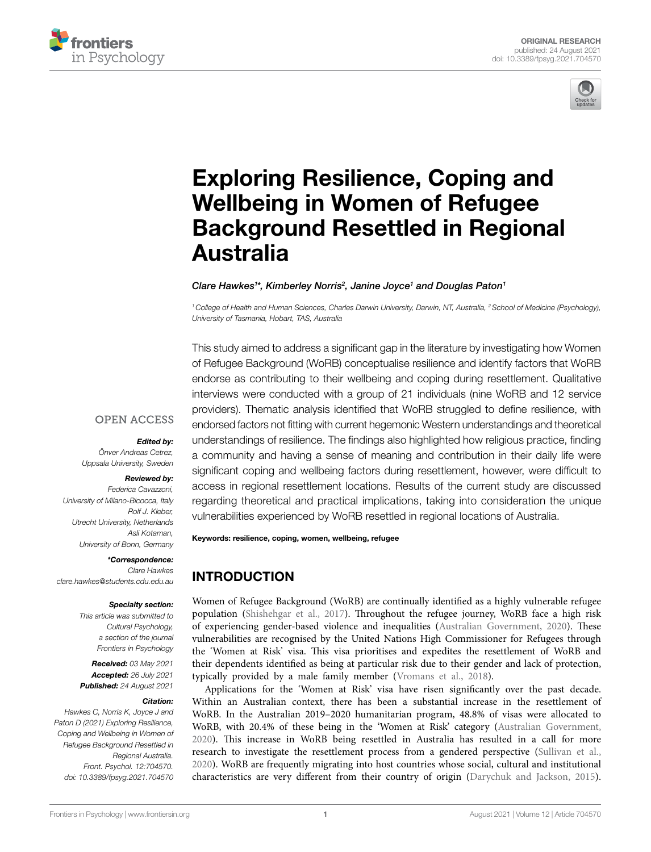



# [Exploring Resilience, Coping and](https://www.frontiersin.org/articles/10.3389/fpsyg.2021.704570/full)  [Wellbeing in Women of Refugee](https://www.frontiersin.org/articles/10.3389/fpsyg.2021.704570/full)  [Background Resettled in Regional](https://www.frontiersin.org/articles/10.3389/fpsyg.2021.704570/full)  [Australia](https://www.frontiersin.org/articles/10.3389/fpsyg.2021.704570/full)

#### *Clare Hawkes1 \*, Kimberley Norris2 , Janine Joyce1 and Douglas Paton1*

*1College of Health and Human Sciences, Charles Darwin University, Darwin, NT, Australia, 2School of Medicine (Psychology), University of Tasmania, Hobart, TAS, Australia*

This study aimed to address a significant gap in the literature by investigating how Women of Refugee Background (WoRB) conceptualise resilience and identify factors that WoRB endorse as contributing to their wellbeing and coping during resettlement. Qualitative interviews were conducted with a group of 21 individuals (nine WoRB and 12 service providers). Thematic analysis identified that WoRB struggled to define resilience, with endorsed factors not fitting with current hegemonic Western understandings and theoretical understandings of resilience. The findings also highlighted how religious practice, finding a community and having a sense of meaning and contribution in their daily life were significant coping and wellbeing factors during resettlement, however, were difficult to access in regional resettlement locations. Results of the current study are discussed regarding theoretical and practical implications, taking into consideration the unique vulnerabilities experienced by WoRB resettled in regional locations of Australia.

Keywords: resilience, coping, women, wellbeing, refugee

# INTRODUCTION

Women of Refugee Background (WoRB) are continually identified as a highly vulnerable refugee population ([Shishehgar et al., 2017](#page-9-0)). Throughout the refugee journey, WoRB face a high risk of experiencing gender-based violence and inequalities ([Australian Government, 2020](#page-8-0)). These vulnerabilities are recognised by the United Nations High Commissioner for Refugees through the 'Women at Risk' visa. This visa prioritises and expedites the resettlement of WoRB and their dependents identified as being at particular risk due to their gender and lack of protection, typically provided by a male family member ([Vromans et al., 2018](#page-9-1)).

Applications for the 'Women at Risk' visa have risen significantly over the past decade. Within an Australian context, there has been a substantial increase in the resettlement of WoRB. In the Australian 2019–2020 humanitarian program, 48.8% of visas were allocated to WoRB, with 20.4% of these being in the 'Women at Risk' category [\(Australian Government,](#page-8-0)  [2020\)](#page-8-0). This increase in WoRB being resettled in Australia has resulted in a call for more research to investigate the resettlement process from a gendered perspective [\(Sullivan et al.,](#page-9-2)  [2020\)](#page-9-2). WoRB are frequently migrating into host countries whose social, cultural and institutional characteristics are very different from their country of origin ([Darychuk and Jackson, 2015](#page-8-1)).

#### **OPEN ACCESS**

#### *Edited by:*

*Önver Andreas Cetrez, Uppsala University, Sweden*

#### *Reviewed by:*

*Federica Cavazzoni, University of Milano-Bicocca, Italy Rolf J. Kleber, Utrecht University, Netherlands Asli Kotaman, University of Bonn, Germany*

*\*Correspondence:* 

*Clare Hawkes [clare.hawkes@students.cdu.edu.au](mailto:clare.hawkes@students.cdu.edu.au)*

#### *Specialty section:*

*This article was submitted to Cultural Psychology, a section of the journal Frontiers in Psychology*

*Received: 03 May 2021 Accepted: 26 July 2021 Published: 24 August 2021*

#### *Citation:*

*Hawkes C, Norris K, Joyce J and Paton D (2021) Exploring Resilience, Coping and Wellbeing in Women of Refugee Background Resettled in Regional Australia. Front. Psychol. 12:704570. [doi: 10.3389/fpsyg.2021.704570](https://doi.org/10.3389/fpsyg.2021.704570)*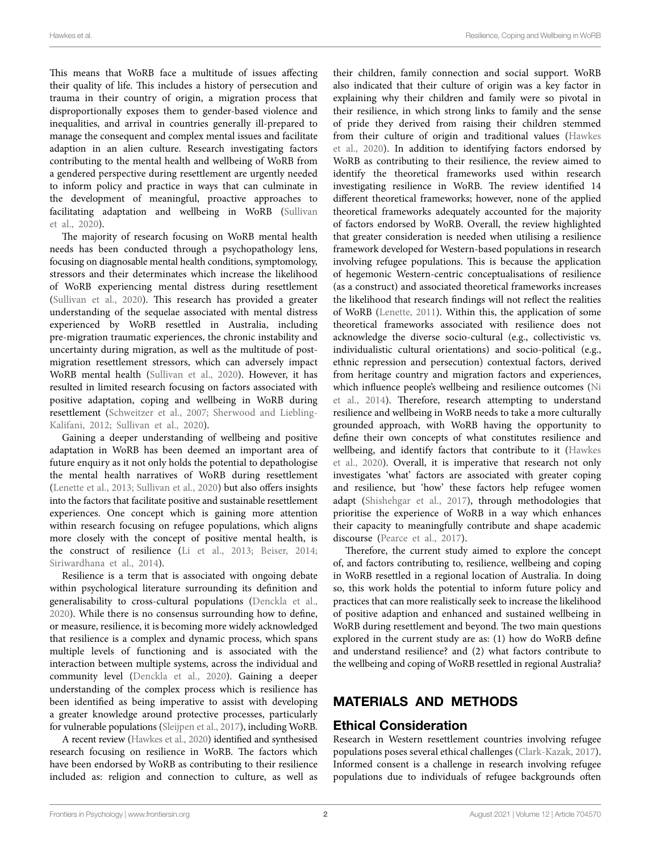This means that WoRB face a multitude of issues affecting their quality of life. This includes a history of persecution and trauma in their country of origin, a migration process that disproportionally exposes them to gender-based violence and inequalities, and arrival in countries generally ill-prepared to manage the consequent and complex mental issues and facilitate adaption in an alien culture. Research investigating factors contributing to the mental health and wellbeing of WoRB from a gendered perspective during resettlement are urgently needed to inform policy and practice in ways that can culminate in the development of meaningful, proactive approaches to facilitating adaptation and wellbeing in WoRB [\(Sullivan](#page-9-2)  [et al., 2020](#page-9-2)).

The majority of research focusing on WoRB mental health needs has been conducted through a psychopathology lens, focusing on diagnosable mental health conditions, symptomology, stressors and their determinates which increase the likelihood of WoRB experiencing mental distress during resettlement ([Sullivan et al., 2020](#page-9-2)). This research has provided a greater understanding of the sequelae associated with mental distress experienced by WoRB resettled in Australia, including pre-migration traumatic experiences, the chronic instability and uncertainty during migration, as well as the multitude of postmigration resettlement stressors, which can adversely impact WoRB mental health [\(Sullivan et al., 2020\)](#page-9-2). However, it has resulted in limited research focusing on factors associated with positive adaptation, coping and wellbeing in WoRB during resettlement ([Schweitzer et al., 2007;](#page-8-2) [Sherwood and Liebling-](#page-8-3)[Kalifani, 2012](#page-8-3); [Sullivan et al., 2020](#page-9-2)).

Gaining a deeper understanding of wellbeing and positive adaptation in WoRB has been deemed an important area of future enquiry as it not only holds the potential to depathologise the mental health narratives of WoRB during resettlement ([Lenette et al., 2013](#page-8-4); [Sullivan et al., 2020](#page-9-2)) but also offers insights into the factors that facilitate positive and sustainable resettlement experiences. One concept which is gaining more attention within research focusing on refugee populations, which aligns more closely with the concept of positive mental health, is the construct of resilience [\(Li et al., 2013;](#page-8-5) [Beiser, 2014](#page-8-6); [Siriwardhana et al., 2014\)](#page-9-3).

Resilience is a term that is associated with ongoing debate within psychological literature surrounding its definition and generalisability to cross-cultural populations [\(Denckla et al.,](#page-8-7)  [2020\)](#page-8-7). While there is no consensus surrounding how to define, or measure, resilience, it is becoming more widely acknowledged that resilience is a complex and dynamic process, which spans multiple levels of functioning and is associated with the interaction between multiple systems, across the individual and community level ([Denckla et al., 2020\)](#page-8-7). Gaining a deeper understanding of the complex process which is resilience has been identified as being imperative to assist with developing a greater knowledge around protective processes, particularly for vulnerable populations ([Sleijpen et al., 2017](#page-9-4)), including WoRB.

A recent review ([Hawkes et al., 2020](#page-8-8)) identified and synthesised research focusing on resilience in WoRB. The factors which have been endorsed by WoRB as contributing to their resilience included as: religion and connection to culture, as well as

their children, family connection and social support. WoRB also indicated that their culture of origin was a key factor in explaining why their children and family were so pivotal in their resilience, in which strong links to family and the sense of pride they derived from raising their children stemmed from their culture of origin and traditional values [\(Hawkes](#page-8-8)  [et al., 2020\)](#page-8-8). In addition to identifying factors endorsed by WoRB as contributing to their resilience, the review aimed to identify the theoretical frameworks used within research investigating resilience in WoRB. The review identified 14 different theoretical frameworks; however, none of the applied theoretical frameworks adequately accounted for the majority of factors endorsed by WoRB. Overall, the review highlighted that greater consideration is needed when utilising a resilience framework developed for Western-based populations in research involving refugee populations. This is because the application of hegemonic Western-centric conceptualisations of resilience (as a construct) and associated theoretical frameworks increases the likelihood that research findings will not reflect the realities of WoRB [\(Lenette, 2011\)](#page-8-9). Within this, the application of some theoretical frameworks associated with resilience does not acknowledge the diverse socio-cultural (e.g., collectivistic vs. individualistic cultural orientations) and socio-political (e.g., ethnic repression and persecution) contextual factors, derived from heritage country and migration factors and experiences, which influence people's wellbeing and resilience outcomes ([Ni](#page-8-10)  [et al., 2014\)](#page-8-10). Therefore, research attempting to understand resilience and wellbeing in WoRB needs to take a more culturally grounded approach, with WoRB having the opportunity to define their own concepts of what constitutes resilience and wellbeing, and identify factors that contribute to it [\(Hawkes](#page-8-8)  [et al., 2020\)](#page-8-8). Overall, it is imperative that research not only investigates 'what' factors are associated with greater coping and resilience, but 'how' these factors help refugee women adapt [\(Shishehgar et al., 2017](#page-9-0)), through methodologies that prioritise the experience of WoRB in a way which enhances their capacity to meaningfully contribute and shape academic discourse (Pearce et al., 2017).

Therefore, the current study aimed to explore the concept of, and factors contributing to, resilience, wellbeing and coping in WoRB resettled in a regional location of Australia. In doing so, this work holds the potential to inform future policy and practices that can more realistically seek to increase the likelihood of positive adaption and enhanced and sustained wellbeing in WoRB during resettlement and beyond. The two main questions explored in the current study are as: (1) how do WoRB define and understand resilience? and (2) what factors contribute to the wellbeing and coping of WoRB resettled in regional Australia?

# MATERIALS AND METHODS

#### Ethical Consideration

Research in Western resettlement countries involving refugee populations poses several ethical challenges [\(Clark-Kazak, 2017](#page-8-12)). Informed consent is a challenge in research involving refugee populations due to individuals of refugee backgrounds often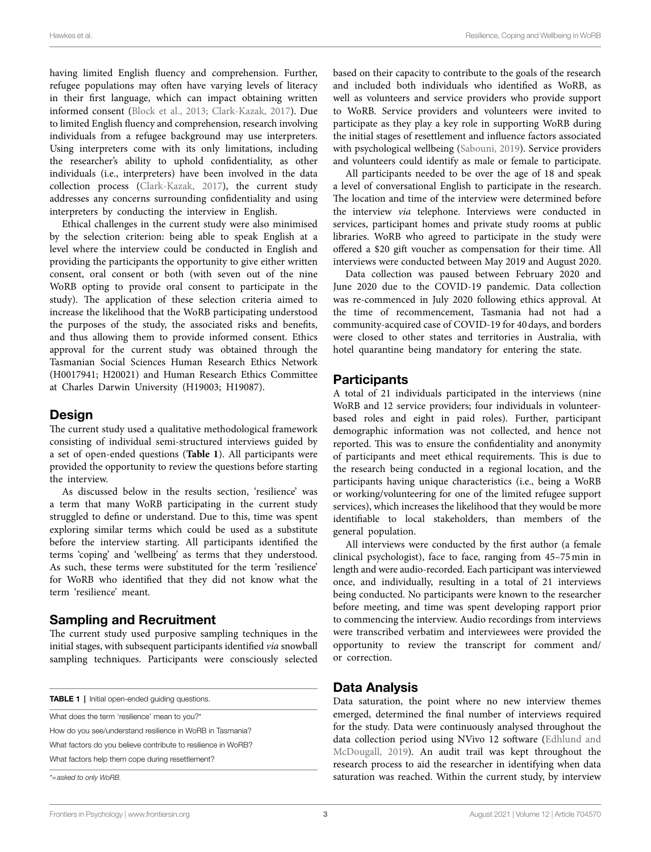having limited English fluency and comprehension. Further, refugee populations may often have varying levels of literacy in their first language, which can impact obtaining written informed consent [\(Block et al., 2013](#page-8-13); [Clark-Kazak, 2017\)](#page-8-12). Due to limited English fluency and comprehension, research involving individuals from a refugee background may use interpreters. Using interpreters come with its only limitations, including the researcher's ability to uphold confidentiality, as other individuals (i.e., interpreters) have been involved in the data collection process [\(Clark-Kazak, 2017](#page-8-12)), the current study addresses any concerns surrounding confidentiality and using interpreters by conducting the interview in English.

Ethical challenges in the current study were also minimised by the selection criterion: being able to speak English at a level where the interview could be conducted in English and providing the participants the opportunity to give either written consent, oral consent or both (with seven out of the nine WoRB opting to provide oral consent to participate in the study). The application of these selection criteria aimed to increase the likelihood that the WoRB participating understood the purposes of the study, the associated risks and benefits, and thus allowing them to provide informed consent. Ethics approval for the current study was obtained through the Tasmanian Social Sciences Human Research Ethics Network (H0017941; H20021) and Human Research Ethics Committee at Charles Darwin University (H19003; H19087).

#### **Design**

The current study used a qualitative methodological framework consisting of individual semi-structured interviews guided by a set of open-ended questions (**[Table 1](#page-2-0)**). All participants were provided the opportunity to review the questions before starting the interview.

As discussed below in the results section, 'resilience' was a term that many WoRB participating in the current study struggled to define or understand. Due to this, time was spent exploring similar terms which could be used as a substitute before the interview starting. All participants identified the terms 'coping' and 'wellbeing' as terms that they understood. As such, these terms were substituted for the term 'resilience' for WoRB who identified that they did not know what the term 'resilience' meant.

#### Sampling and Recruitment

The current study used purposive sampling techniques in the initial stages, with subsequent participants identified *via* snowball sampling techniques. Participants were consciously selected

<span id="page-2-0"></span>

| <b>TABLE 1</b>   Initial open-ended quiding questions.        |  |
|---------------------------------------------------------------|--|
| What does the term 'resilience' mean to you?*                 |  |
| How do you see/understand resilience in WoRB in Tasmania?     |  |
| What factors do you believe contribute to resilience in WoRB? |  |
| What factors help them cope during resettlement?              |  |
| *=asked to only WoRB.                                         |  |

based on their capacity to contribute to the goals of the research and included both individuals who identified as WoRB, as well as volunteers and service providers who provide support to WoRB. Service providers and volunteers were invited to participate as they play a key role in supporting WoRB during the initial stages of resettlement and influence factors associated with psychological wellbeing [\(Sabouni, 2019](#page-8-14)). Service providers and volunteers could identify as male or female to participate.

All participants needed to be over the age of 18 and speak a level of conversational English to participate in the research. The location and time of the interview were determined before the interview *via* telephone. Interviews were conducted in services, participant homes and private study rooms at public libraries. WoRB who agreed to participate in the study were offered a \$20 gift voucher as compensation for their time. All interviews were conducted between May 2019 and August 2020.

Data collection was paused between February 2020 and June 2020 due to the COVID-19 pandemic. Data collection was re-commenced in July 2020 following ethics approval. At the time of recommencement, Tasmania had not had a community-acquired case of COVID-19 for 40days, and borders were closed to other states and territories in Australia, with hotel quarantine being mandatory for entering the state.

#### **Participants**

A total of 21 individuals participated in the interviews (nine WoRB and 12 service providers; four individuals in volunteerbased roles and eight in paid roles). Further, participant demographic information was not collected, and hence not reported. This was to ensure the confidentiality and anonymity of participants and meet ethical requirements. This is due to the research being conducted in a regional location, and the participants having unique characteristics (i.e., being a WoRB or working/volunteering for one of the limited refugee support services), which increases the likelihood that they would be more identifiable to local stakeholders, than members of the general population.

All interviews were conducted by the first author (a female clinical psychologist), face to face, ranging from 45–75min in length and were audio-recorded. Each participant was interviewed once, and individually, resulting in a total of 21 interviews being conducted. No participants were known to the researcher before meeting, and time was spent developing rapport prior to commencing the interview. Audio recordings from interviews were transcribed verbatim and interviewees were provided the opportunity to review the transcript for comment and/ or correction.

# Data Analysis

Data saturation, the point where no new interview themes emerged, determined the final number of interviews required for the study. Data were continuously analysed throughout the data collection period using NVivo 12 software ([Edhlund and](#page-8-15)  [McDougall, 2019](#page-8-15)). An audit trail was kept throughout the research process to aid the researcher in identifying when data saturation was reached. Within the current study, by interview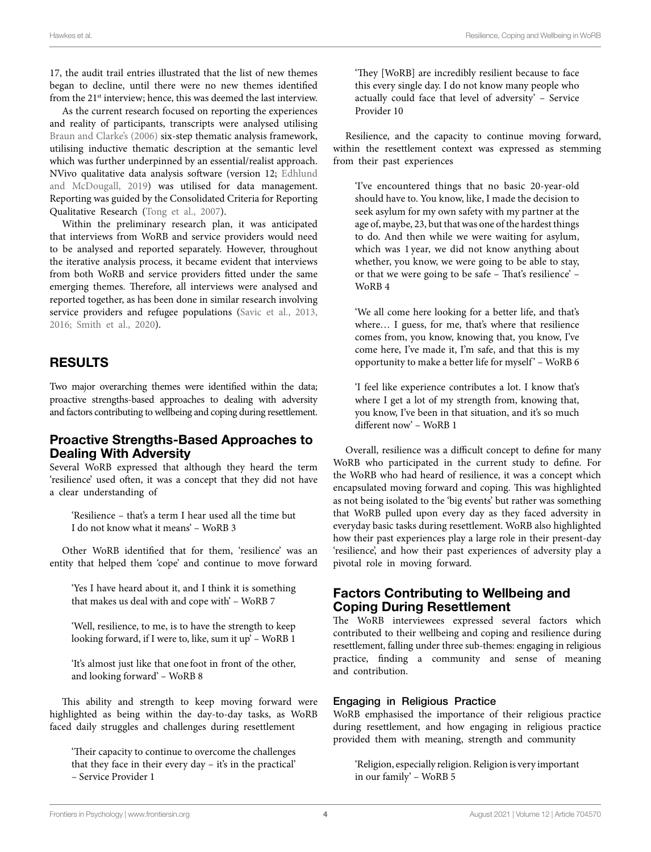17, the audit trail entries illustrated that the list of new themes began to decline, until there were no new themes identified from the 21<sup>st</sup> interview; hence, this was deemed the last interview.

As the current research focused on reporting the experiences and reality of participants, transcripts were analysed utilising [Braun and Clarke's \(2006\)](#page-8-16) six-step thematic analysis framework, utilising inductive thematic description at the semantic level which was further underpinned by an essential/realist approach. NVivo qualitative data analysis software (version 12; [Edhlund](#page-8-15)  [and McDougall, 2019](#page-8-15)) was utilised for data management. Reporting was guided by the Consolidated Criteria for Reporting Qualitative Research [\(Tong et al., 2007\)](#page-9-5).

Within the preliminary research plan, it was anticipated that interviews from WoRB and service providers would need to be analysed and reported separately. However, throughout the iterative analysis process, it became evident that interviews from both WoRB and service providers fitted under the same emerging themes. Therefore, all interviews were analysed and reported together, as has been done in similar research involving service providers and refugee populations (Savic et al., 2013, [2016;](#page-8-18) [Smith et al., 2020\)](#page-9-6).

## RESULTS

Two major overarching themes were identified within the data; proactive strengths-based approaches to dealing with adversity and factors contributing to wellbeing and coping during resettlement.

#### Proactive Strengths-Based Approaches to Dealing With Adversity

Several WoRB expressed that although they heard the term 'resilience' used often, it was a concept that they did not have a clear understanding of

'Resilience – that's a term I hear used all the time but I do not know what it means' – WoRB 3

Other WoRB identified that for them, 'resilience' was an entity that helped them 'cope' and continue to move forward

'Yes I have heard about it, and I think it is something that makes us deal with and cope with' – WoRB 7

'Well, resilience, to me, is to have the strength to keep looking forward, if I were to, like, sum it up' – WoRB 1

'It's almost just like that one foot in front of the other, and looking forward' – WoRB 8

This ability and strength to keep moving forward were highlighted as being within the day-to-day tasks, as WoRB faced daily struggles and challenges during resettlement

'Their capacity to continue to overcome the challenges that they face in their every day – it's in the practical' – Service Provider 1

'They [WoRB] are incredibly resilient because to face this every single day. I do not know many people who actually could face that level of adversity' – Service Provider 10

Resilience, and the capacity to continue moving forward, within the resettlement context was expressed as stemming from their past experiences

'I've encountered things that no basic 20-year-old should have to. You know, like, I made the decision to seek asylum for my own safety with my partner at the age of, maybe, 23, but that was one of the hardest things to do. And then while we were waiting for asylum, which was 1 year, we did not know anything about whether, you know, we were going to be able to stay, or that we were going to be safe – That's resilience' – WoRB 4

'We all come here looking for a better life, and that's where... I guess, for me, that's where that resilience comes from, you know, knowing that, you know, I've come here, I've made it, I'm safe, and that this is my opportunity to make a better life for myself ' – WoRB 6

'I feel like experience contributes a lot. I know that's where I get a lot of my strength from, knowing that, you know, I've been in that situation, and it's so much different now' – WoRB 1

Overall, resilience was a difficult concept to define for many WoRB who participated in the current study to define. For the WoRB who had heard of resilience, it was a concept which encapsulated moving forward and coping. This was highlighted as not being isolated to the 'big events' but rather was something that WoRB pulled upon every day as they faced adversity in everyday basic tasks during resettlement. WoRB also highlighted how their past experiences play a large role in their present-day 'resilience', and how their past experiences of adversity play a pivotal role in moving forward.

#### Factors Contributing to Wellbeing and Coping During Resettlement

The WoRB interviewees expressed several factors which contributed to their wellbeing and coping and resilience during resettlement, falling under three sub-themes: engaging in religious practice, finding a community and sense of meaning and contribution.

#### Engaging in Religious Practice

WoRB emphasised the importance of their religious practice during resettlement, and how engaging in religious practice provided them with meaning, strength and community

'Religion, especially religion. Religion is very important in our family' – WoRB 5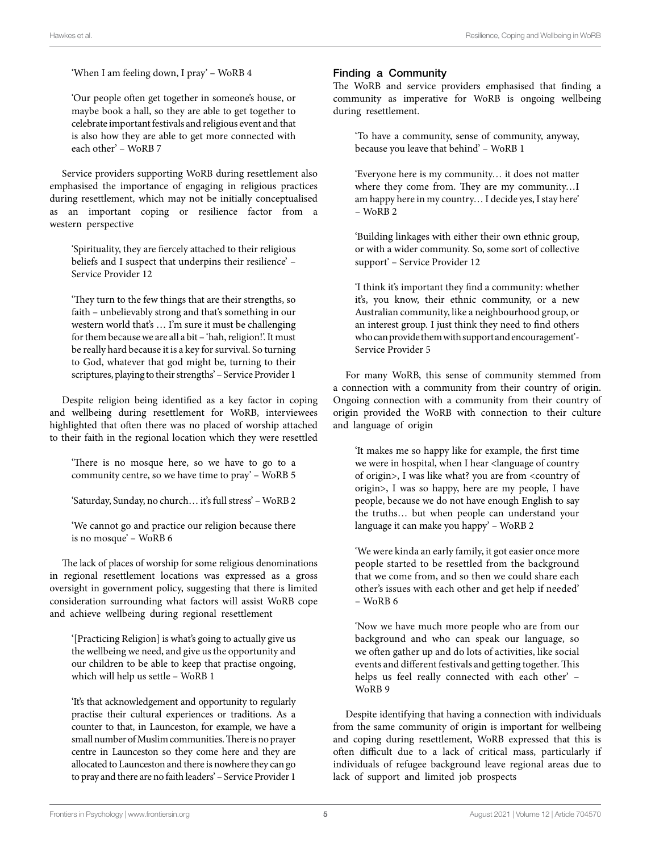'When I am feeling down, I pray' – WoRB 4

'Our people often get together in someone's house, or maybe book a hall, so they are able to get together to celebrate important festivals and religious event and that is also how they are able to get more connected with each other' – WoRB 7

Service providers supporting WoRB during resettlement also emphasised the importance of engaging in religious practices during resettlement, which may not be initially conceptualised as an important coping or resilience factor from a western perspective

'Spirituality, they are fiercely attached to their religious beliefs and I suspect that underpins their resilience' – Service Provider 12

'They turn to the few things that are their strengths, so faith – unbelievably strong and that's something in our western world that's … I'm sure it must be challenging for them because we are all a bit – 'hah, religion!'. It must be really hard because it is a key for survival. So turning to God, whatever that god might be, turning to their scriptures, playing to their strengths' – Service Provider 1

Despite religion being identified as a key factor in coping and wellbeing during resettlement for WoRB, interviewees highlighted that often there was no placed of worship attached to their faith in the regional location which they were resettled

'There is no mosque here, so we have to go to a community centre, so we have time to pray' – WoRB 5

'Saturday, Sunday, no church… it's full stress' – WoRB 2

'We cannot go and practice our religion because there is no mosque' – WoRB 6

The lack of places of worship for some religious denominations in regional resettlement locations was expressed as a gross oversight in government policy, suggesting that there is limited consideration surrounding what factors will assist WoRB cope and achieve wellbeing during regional resettlement

'[Practicing Religion] is what's going to actually give us the wellbeing we need, and give us the opportunity and our children to be able to keep that practise ongoing, which will help us settle – WoRB 1

'It's that acknowledgement and opportunity to regularly practise their cultural experiences or traditions. As a counter to that, in Launceston, for example, we have a small number of Muslim communities. There is no prayer centre in Launceston so they come here and they are allocated to Launceston and there is nowhere they can go to pray and there are no faith leaders' – Service Provider 1

#### Finding a Community

The WoRB and service providers emphasised that finding a community as imperative for WoRB is ongoing wellbeing during resettlement.

'To have a community, sense of community, anyway, because you leave that behind' – WoRB 1

'Everyone here is my community… it does not matter where they come from. They are my community…I am happy here in my country… I decide yes, I stay here'  $-$  WoRB 2.

'Building linkages with either their own ethnic group, or with a wider community. So, some sort of collective support' – Service Provider 12

'I think it's important they find a community: whether it's, you know, their ethnic community, or a new Australian community, like a neighbourhood group, or an interest group. I just think they need to find others who can provide them with support and encouragement'- Service Provider 5

For many WoRB, this sense of community stemmed from a connection with a community from their country of origin. Ongoing connection with a community from their country of origin provided the WoRB with connection to their culture and language of origin

'It makes me so happy like for example, the first time we were in hospital, when I hear <language of country of origin>, I was like what? you are from <country of origin>, I was so happy, here are my people, I have people, because we do not have enough English to say the truths… but when people can understand your language it can make you happy' – WoRB 2

'We were kinda an early family, it got easier once more people started to be resettled from the background that we come from, and so then we could share each other's issues with each other and get help if needed' – WoRB 6

'Now we have much more people who are from our background and who can speak our language, so we often gather up and do lots of activities, like social events and different festivals and getting together. This helps us feel really connected with each other' – WoRB 9

Despite identifying that having a connection with individuals from the same community of origin is important for wellbeing and coping during resettlement, WoRB expressed that this is often difficult due to a lack of critical mass, particularly if individuals of refugee background leave regional areas due to lack of support and limited job prospects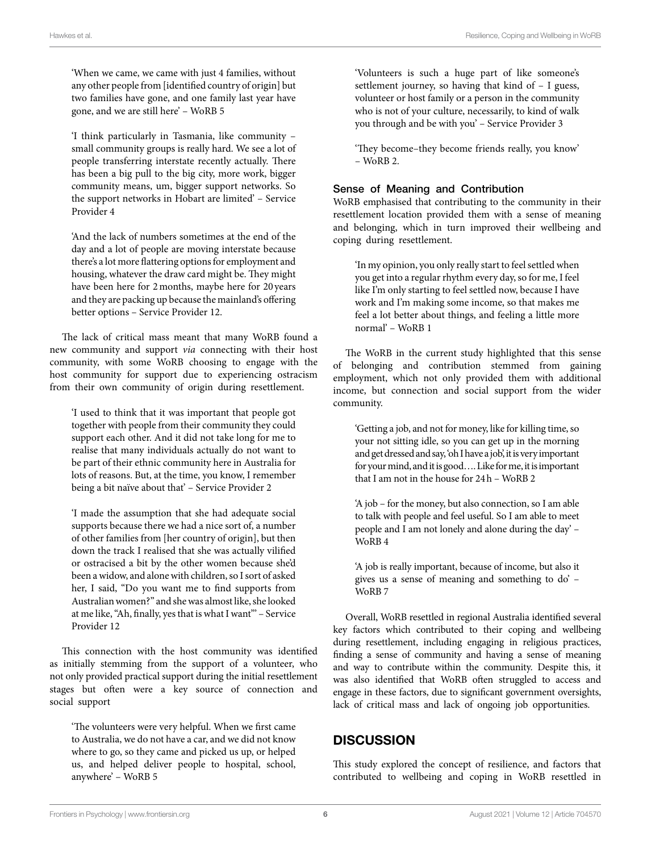'When we came, we came with just 4 families, without any other people from [identified country of origin] but two families have gone, and one family last year have gone, and we are still here' – WoRB 5

'I think particularly in Tasmania, like community – small community groups is really hard. We see a lot of people transferring interstate recently actually. There has been a big pull to the big city, more work, bigger community means, um, bigger support networks. So the support networks in Hobart are limited' – Service Provider 4

'And the lack of numbers sometimes at the end of the day and a lot of people are moving interstate because there's a lot more flattering options for employment and housing, whatever the draw card might be. They might have been here for 2months, maybe here for 20 years and they are packing up because the mainland's offering better options – Service Provider 12.

The lack of critical mass meant that many WoRB found a new community and support *via* connecting with their host community, with some WoRB choosing to engage with the host community for support due to experiencing ostracism from their own community of origin during resettlement.

'I used to think that it was important that people got together with people from their community they could support each other. And it did not take long for me to realise that many individuals actually do not want to be part of their ethnic community here in Australia for lots of reasons. But, at the time, you know, I remember being a bit naïve about that' – Service Provider 2

'I made the assumption that she had adequate social supports because there we had a nice sort of, a number of other families from [her country of origin], but then down the track I realised that she was actually vilified or ostracised a bit by the other women because she'd been a widow, and alone with children, so I sort of asked her, I said, "Do you want me to find supports from Australian women?" and she was almost like, she looked at me like, "Ah, finally, yes that is what I want"' – Service Provider 12

This connection with the host community was identified as initially stemming from the support of a volunteer, who not only provided practical support during the initial resettlement stages but often were a key source of connection and social support

'The volunteers were very helpful. When we first came to Australia, we do not have a car, and we did not know where to go, so they came and picked us up, or helped us, and helped deliver people to hospital, school, anywhere' – WoRB 5

'Volunteers is such a huge part of like someone's settlement journey, so having that kind of – I guess, volunteer or host family or a person in the community who is not of your culture, necessarily, to kind of walk you through and be with you' – Service Provider 3

'They become–they become friends really, you know' – WoRB 2.

#### Sense of Meaning and Contribution

WoRB emphasised that contributing to the community in their resettlement location provided them with a sense of meaning and belonging, which in turn improved their wellbeing and coping during resettlement.

'In my opinion, you only really start to feel settled when you get into a regular rhythm every day, so for me, I feel like I'm only starting to feel settled now, because I have work and I'm making some income, so that makes me feel a lot better about things, and feeling a little more normal' – WoRB 1

The WoRB in the current study highlighted that this sense of belonging and contribution stemmed from gaining employment, which not only provided them with additional income, but connection and social support from the wider community.

'Getting a job, and not for money, like for killing time, so your not sitting idle, so you can get up in the morning and get dressed and say, 'oh I have a job', it is very important for your mind, and it is good…. Like for me, it is important that I am not in the house for 24h – WoRB 2

'A job – for the money, but also connection, so I am able to talk with people and feel useful. So I am able to meet people and I am not lonely and alone during the day' – WoRB 4

'A job is really important, because of income, but also it gives us a sense of meaning and something to do' – WoRB 7

Overall, WoRB resettled in regional Australia identified several key factors which contributed to their coping and wellbeing during resettlement, including engaging in religious practices, finding a sense of community and having a sense of meaning and way to contribute within the community. Despite this, it was also identified that WoRB often struggled to access and engage in these factors, due to significant government oversights, lack of critical mass and lack of ongoing job opportunities.

# **DISCUSSION**

This study explored the concept of resilience, and factors that contributed to wellbeing and coping in WoRB resettled in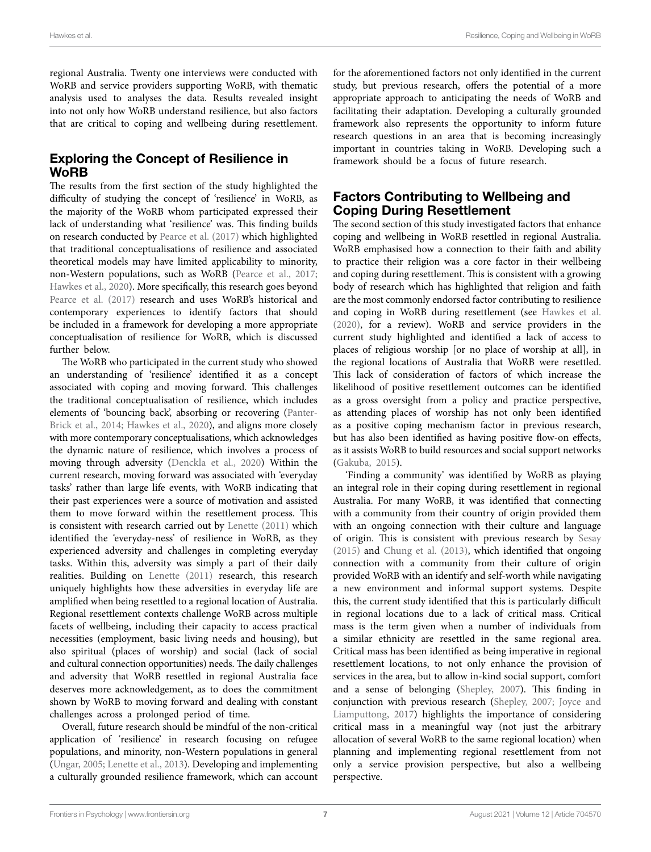regional Australia. Twenty one interviews were conducted with WoRB and service providers supporting WoRB, with thematic analysis used to analyses the data. Results revealed insight into not only how WoRB understand resilience, but also factors that are critical to coping and wellbeing during resettlement.

## Exploring the Concept of Resilience in WoRB

The results from the first section of the study highlighted the difficulty of studying the concept of 'resilience' in WoRB, as the majority of the WoRB whom participated expressed their lack of understanding what 'resilience' was. This finding builds on research conducted by [Pearce et al. \(2017\)](#page-8-11) which highlighted that traditional conceptualisations of resilience and associated theoretical models may have limited applicability to minority, non-Western populations, such as WoRB ([Pearce et al., 2017](#page-8-11); [Hawkes et al., 2020\)](#page-8-8). More specifically, this research goes beyond Pearce et al. (2017) research and uses WoRB's historical and contemporary experiences to identify factors that should be included in a framework for developing a more appropriate conceptualisation of resilience for WoRB, which is discussed further below.

The WoRB who participated in the current study who showed an understanding of 'resilience' identified it as a concept associated with coping and moving forward. This challenges the traditional conceptualisation of resilience, which includes elements of 'bouncing back', absorbing or recovering ([Panter-](#page-8-19)[Brick et al., 2014;](#page-8-19) [Hawkes et al., 2020](#page-8-8)), and aligns more closely with more contemporary conceptualisations, which acknowledges the dynamic nature of resilience, which involves a process of moving through adversity ([Denckla et al., 2020\)](#page-8-7) Within the current research, moving forward was associated with 'everyday tasks' rather than large life events, with WoRB indicating that their past experiences were a source of motivation and assisted them to move forward within the resettlement process. This is consistent with research carried out by [Lenette \(2011\)](#page-8-9) which identified the 'everyday-ness' of resilience in WoRB, as they experienced adversity and challenges in completing everyday tasks. Within this, adversity was simply a part of their daily realities. Building on [Lenette \(2011\)](#page-8-9) research, this research uniquely highlights how these adversities in everyday life are amplified when being resettled to a regional location of Australia. Regional resettlement contexts challenge WoRB across multiple facets of wellbeing, including their capacity to access practical necessities (employment, basic living needs and housing), but also spiritual (places of worship) and social (lack of social and cultural connection opportunities) needs. The daily challenges and adversity that WoRB resettled in regional Australia face deserves more acknowledgement, as to does the commitment shown by WoRB to moving forward and dealing with constant challenges across a prolonged period of time.

Overall, future research should be mindful of the non-critical application of 'resilience' in research focusing on refugee populations, and minority, non-Western populations in general ([Ungar, 2005;](#page-9-7) [Lenette et al., 2013](#page-8-4)). Developing and implementing a culturally grounded resilience framework, which can account for the aforementioned factors not only identified in the current study, but previous research, offers the potential of a more appropriate approach to anticipating the needs of WoRB and facilitating their adaptation. Developing a culturally grounded framework also represents the opportunity to inform future research questions in an area that is becoming increasingly important in countries taking in WoRB. Developing such a framework should be a focus of future research.

## Factors Contributing to Wellbeing and Coping During Resettlement

The second section of this study investigated factors that enhance coping and wellbeing in WoRB resettled in regional Australia. WoRB emphasised how a connection to their faith and ability to practice their religion was a core factor in their wellbeing and coping during resettlement. This is consistent with a growing body of research which has highlighted that religion and faith are the most commonly endorsed factor contributing to resilience and coping in WoRB during resettlement (see [Hawkes et al.](#page-8-8)  [\(2020\),](#page-8-8) for a review). WoRB and service providers in the current study highlighted and identified a lack of access to places of religious worship [or no place of worship at all], in the regional locations of Australia that WoRB were resettled. This lack of consideration of factors of which increase the likelihood of positive resettlement outcomes can be identified as a gross oversight from a policy and practice perspective, as attending places of worship has not only been identified as a positive coping mechanism factor in previous research, but has also been identified as having positive flow-on effects, as it assists WoRB to build resources and social support networks [\(Gakuba, 2015](#page-8-20)).

'Finding a community' was identified by WoRB as playing an integral role in their coping during resettlement in regional Australia. For many WoRB, it was identified that connecting with a community from their country of origin provided them with an ongoing connection with their culture and language of origin. This is consistent with previous research by [Sesay](#page-8-21)  [\(2015\)](#page-8-21) and [Chung et al. \(2013\)](#page-8-22), which identified that ongoing connection with a community from their culture of origin provided WoRB with an identify and self-worth while navigating a new environment and informal support systems. Despite this, the current study identified that this is particularly difficult in regional locations due to a lack of critical mass. Critical mass is the term given when a number of individuals from a similar ethnicity are resettled in the same regional area. Critical mass has been identified as being imperative in regional resettlement locations, to not only enhance the provision of services in the area, but to allow in-kind social support, comfort and a sense of belonging [\(Shepley, 2007\)](#page-8-23). This finding in conjunction with previous research ([Shepley, 2007](#page-8-23); [Joyce and](#page-8-24)  [Liamputtong, 2017\)](#page-8-24) highlights the importance of considering critical mass in a meaningful way (not just the arbitrary allocation of several WoRB to the same regional location) when planning and implementing regional resettlement from not only a service provision perspective, but also a wellbeing perspective.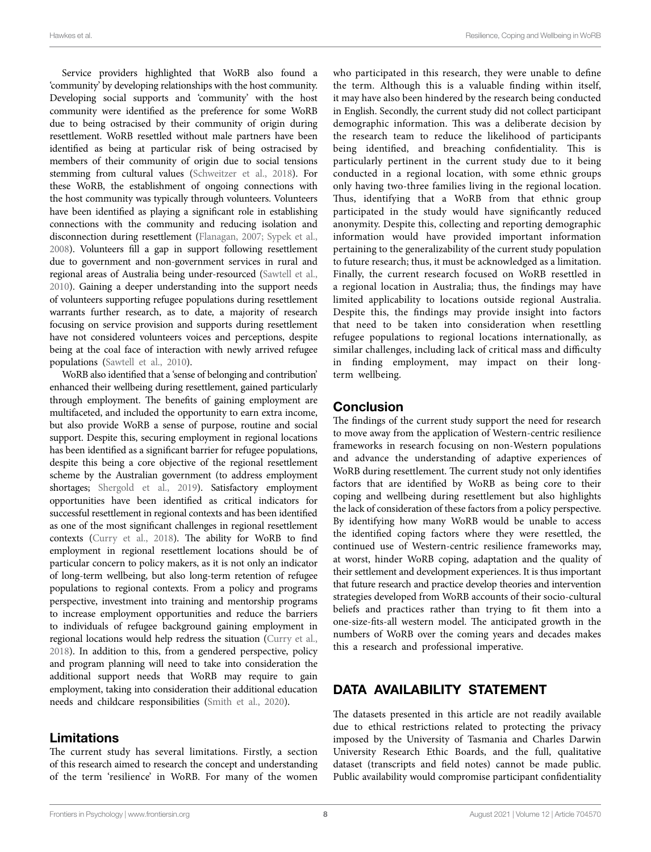Service providers highlighted that WoRB also found a 'community' by developing relationships with the host community. Developing social supports and 'community' with the host community were identified as the preference for some WoRB due to being ostracised by their community of origin during resettlement. WoRB resettled without male partners have been identified as being at particular risk of being ostracised by members of their community of origin due to social tensions stemming from cultural values ([Schweitzer et al., 2018](#page-8-25)). For these WoRB, the establishment of ongoing connections with the host community was typically through volunteers. Volunteers have been identified as playing a significant role in establishing connections with the community and reducing isolation and disconnection during resettlement [\(Flanagan, 2007](#page-8-26); [Sypek et al.,](#page-9-8)  [2008](#page-9-8)). Volunteers fill a gap in support following resettlement due to government and non-government services in rural and regional areas of Australia being under-resourced ([Sawtell et al.,](#page-8-27)  [2010](#page-8-27)). Gaining a deeper understanding into the support needs of volunteers supporting refugee populations during resettlement warrants further research, as to date, a majority of research focusing on service provision and supports during resettlement have not considered volunteers voices and perceptions, despite being at the coal face of interaction with newly arrived refugee populations ([Sawtell et al., 2010\)](#page-8-27).

WoRB also identified that a 'sense of belonging and contribution' enhanced their wellbeing during resettlement, gained particularly through employment. The benefits of gaining employment are multifaceted, and included the opportunity to earn extra income, but also provide WoRB a sense of purpose, routine and social support. Despite this, securing employment in regional locations has been identified as a significant barrier for refugee populations, despite this being a core objective of the regional resettlement scheme by the Australian government (to address employment shortages; Shergold et al., 2019). Satisfactory employment opportunities have been identified as critical indicators for successful resettlement in regional contexts and has been identified as one of the most significant challenges in regional resettlement contexts (Curry et al., 2018). The ability for WoRB to find employment in regional resettlement locations should be of particular concern to policy makers, as it is not only an indicator of long-term wellbeing, but also long-term retention of refugee populations to regional contexts. From a policy and programs perspective, investment into training and mentorship programs to increase employment opportunities and reduce the barriers to individuals of refugee background gaining employment in regional locations would help redress the situation [\(Curry et al.,](#page-8-29)  [2018](#page-8-29)). In addition to this, from a gendered perspective, policy and program planning will need to take into consideration the additional support needs that WoRB may require to gain employment, taking into consideration their additional education needs and childcare responsibilities ([Smith et al., 2020\)](#page-9-6).

#### Limitations

The current study has several limitations. Firstly, a section of this research aimed to research the concept and understanding of the term 'resilience' in WoRB. For many of the women

who participated in this research, they were unable to define the term. Although this is a valuable finding within itself, it may have also been hindered by the research being conducted in English. Secondly, the current study did not collect participant demographic information. This was a deliberate decision by the research team to reduce the likelihood of participants being identified, and breaching confidentiality. This is particularly pertinent in the current study due to it being conducted in a regional location, with some ethnic groups only having two-three families living in the regional location. Thus, identifying that a WoRB from that ethnic group participated in the study would have significantly reduced anonymity. Despite this, collecting and reporting demographic information would have provided important information pertaining to the generalizability of the current study population to future research; thus, it must be acknowledged as a limitation. Finally, the current research focused on WoRB resettled in a regional location in Australia; thus, the findings may have limited applicability to locations outside regional Australia. Despite this, the findings may provide insight into factors that need to be taken into consideration when resettling refugee populations to regional locations internationally, as similar challenges, including lack of critical mass and difficulty in finding employment, may impact on their longterm wellbeing.

## Conclusion

The findings of the current study support the need for research to move away from the application of Western-centric resilience frameworks in research focusing on non-Western populations and advance the understanding of adaptive experiences of WoRB during resettlement. The current study not only identifies factors that are identified by WoRB as being core to their coping and wellbeing during resettlement but also highlights the lack of consideration of these factors from a policy perspective. By identifying how many WoRB would be unable to access the identified coping factors where they were resettled, the continued use of Western-centric resilience frameworks may, at worst, hinder WoRB coping, adaptation and the quality of their settlement and development experiences. It is thus important that future research and practice develop theories and intervention strategies developed from WoRB accounts of their socio-cultural beliefs and practices rather than trying to fit them into a one-size-fits-all western model. The anticipated growth in the numbers of WoRB over the coming years and decades makes this a research and professional imperative.

# DATA AVAILABILITY STATEMENT

The datasets presented in this article are not readily available due to ethical restrictions related to protecting the privacy imposed by the University of Tasmania and Charles Darwin University Research Ethic Boards, and the full, qualitative dataset (transcripts and field notes) cannot be made public. Public availability would compromise participant confidentiality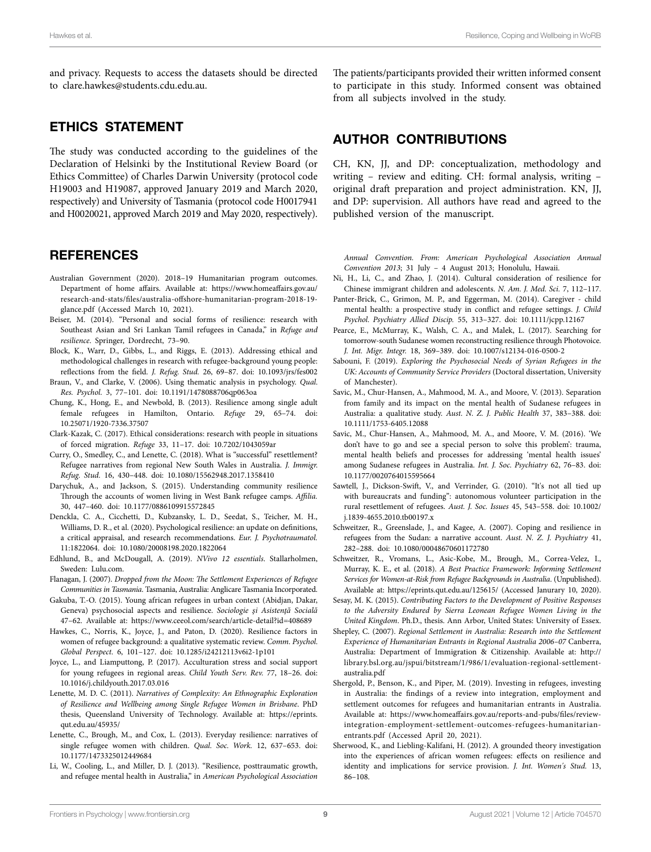and privacy. Requests to access the datasets should be directed to [clare.hawkes@students.cdu.edu.au](mailto:clare.hawkes@students.cdu.edu.au).

#### ETHICS STATEMENT

The study was conducted according to the guidelines of the Declaration of Helsinki by the Institutional Review Board (or Ethics Committee) of Charles Darwin University (protocol code H19003 and H19087, approved January 2019 and March 2020, respectively) and University of Tasmania (protocol code H0017941 and H0020021, approved March 2019 and May 2020, respectively).

#### **REFERENCES**

- <span id="page-8-0"></span>Australian Government (2020). 2018–19 Humanitarian program outcomes. Department of home affairs. Available at: [https://www.homeaffairs.gov.au/](https://www.homeaffairs.gov.au/research-and-stats/files/australia-offshore-humanitarian-program-2018-19-glance.pdf) [research-and-stats/files/australia-offshore-humanitarian-program-2018-19](https://www.homeaffairs.gov.au/research-and-stats/files/australia-offshore-humanitarian-program-2018-19-glance.pdf) [glance.pdf](https://www.homeaffairs.gov.au/research-and-stats/files/australia-offshore-humanitarian-program-2018-19-glance.pdf) (Accessed March 10, 2021).
- <span id="page-8-6"></span>Beiser, M. (2014). "Personal and social forms of resilience: research with Southeast Asian and Sri Lankan Tamil refugees in Canada," in *Refuge and resilience*. Springer, Dordrecht, 73–90.
- <span id="page-8-13"></span>Block, K., Warr, D., Gibbs, L., and Riggs, E. (2013). Addressing ethical and methodological challenges in research with refugee-background young people: reflections from the field. *J. Refug. Stud.* 26, 69–87. doi: [10.1093/jrs/fes002](https://doi.org/10.1093/jrs/fes002)
- <span id="page-8-16"></span>Braun, V., and Clarke, V. (2006). Using thematic analysis in psychology. *Qual. Res. Psychol.* 3, 77–101. doi: [10.1191/1478088706qp063oa](https://doi.org/10.1191/1478088706qp063oa)
- <span id="page-8-22"></span>Chung, K., Hong, E., and Newbold, B. (2013). Resilience among single adult female refugees in Hamilton, Ontario. *Refuge* 29, 65–74. doi: [10.25071/1920-7336.37507](https://doi.org/10.25071/1920-7336.37507)
- <span id="page-8-12"></span>Clark-Kazak, C. (2017). Ethical considerations: research with people in situations of forced migration. *Refuge* 33, 11–17. doi: [10.7202/1043059ar](https://doi.org/10.7202/1043059ar)
- <span id="page-8-29"></span>Curry, O., Smedley, C., and Lenette, C. (2018). What is "successful" resettlement? Refugee narratives from regional New South Wales in Australia. *J. Immigr. Refug. Stud.* 16, 430–448. doi: [10.1080/15562948.2017.1358410](https://doi.org/10.1080/15562948.2017.1358410)
- <span id="page-8-1"></span>Darychuk, A., and Jackson, S. (2015). Understanding community resilience Through the accounts of women living in West Bank refugee camps. *Affilia.* 30, 447–460. doi: [10.1177/0886109915572845](https://doi.org/10.1177/0886109915572845)
- <span id="page-8-7"></span>Denckla, C. A., Cicchetti, D., Kubzansky, L. D., Seedat, S., Teicher, M. H., Williams, D. R., et al. (2020). Psychological resilience: an update on definitions, a critical appraisal, and research recommendations. *Eur. J. Psychotraumatol.* 11:1822064. doi: [10.1080/20008198.2020.1822064](https://doi.org/10.1080/20008198.2020.1822064)
- <span id="page-8-15"></span>Edhlund, B., and McDougall, A. (2019). *NVivo 12 essentials*. Stallarholmen, Sweden: Lulu.com.
- <span id="page-8-26"></span>Flanagan, J. (2007). *Dropped from the Moon: The Settlement Experiences of Refugee Communities in Tasmania*. Tasmania, Australia: Anglicare Tasmania Incorporated.
- <span id="page-8-20"></span>Gakuba, T.-O. (2015). Young african refugees in urban context (Abidjan, Dakar, Geneva) psychosocial aspects and resilience. *Sociologie şi Asistenţă Socială* 47–62. Available at: <https://www.ceeol.com/search/article-detail?id=408689>
- <span id="page-8-8"></span>Hawkes, C., Norris, K., Joyce, J., and Paton, D. (2020). Resilience factors in women of refugee background: a qualitative systematic review. *Comm. Psychol. Global Perspect.* 6, 101–127. doi: [10.1285/i24212113v6i2-1p101](https://doi.org/10.1285/i24212113v6i2-1p101)
- <span id="page-8-24"></span>Joyce, L., and Liamputtong, P. (2017). Acculturation stress and social support for young refugees in regional areas. *Child Youth Serv. Rev.* 77, 18–26. doi: [10.1016/j.childyouth.2017.03.016](https://doi.org/10.1016/j.childyouth.2017.03.016)
- <span id="page-8-9"></span>Lenette, M. D. C. (2011). *Narratives of Complexity: An Ethnographic Exploration of Resilience and Wellbeing among Single Refugee Women in Brisbane*. PhD thesis, Queensland University of Technology. Available at: [https://eprints.](https://eprints.qut.edu.au/45935/) [qut.edu.au/45935/](https://eprints.qut.edu.au/45935/)
- <span id="page-8-4"></span>Lenette, C., Brough, M., and Cox, L. (2013). Everyday resilience: narratives of single refugee women with children. *Qual. Soc. Work.* 12, 637–653. doi: [10.1177/1473325012449684](https://doi.org/10.1177/1473325012449684)
- <span id="page-8-5"></span>Li, W., Cooling, L., and Miller, D. J. (2013). "Resilience, posttraumatic growth, and refugee mental health in Australia," in *American Psychological Association*

The patients/participants provided their written informed consent to participate in this study. Informed consent was obtained from all subjects involved in the study.

# AUTHOR CONTRIBUTIONS

CH, KN, JJ, and DP: conceptualization, methodology and writing - review and editing. CH: formal analysis, writing original draft preparation and project administration. KN, JJ, and DP: supervision. All authors have read and agreed to the published version of the manuscript.

*Annual Convention. From: American Psychological Association Annual Convention 2013*; 31 July – 4 August 2013; Honolulu, Hawaii.

- <span id="page-8-10"></span>Ni, H., Li, C., and Zhao, J. (2014). Cultural consideration of resilience for Chinese immigrant children and adolescents. *N. Am. J. Med. Sci.* 7, 112–117.
- <span id="page-8-19"></span>Panter-Brick, C., Grimon, M. P., and Eggerman, M. (2014). Caregiver - child mental health: a prospective study in conflict and refugee settings. *J. Child Psychol. Psychiatry Allied Discip.* 55, 313–327. doi: [10.1111/jcpp.12167](https://doi.org/10.1111/jcpp.12167)
- <span id="page-8-11"></span>Pearce, E., McMurray, K., Walsh, C. A., and Malek, L. (2017). Searching for tomorrow-south Sudanese women reconstructing resilience through Photovoice. *J. Int. Migr. Integr.* 18, 369–389. doi: [10.1007/s12134-016-0500-2](https://doi.org/10.1007/s12134-016-0500-2)
- <span id="page-8-14"></span>Sabouni, F. (2019). *Exploring the Psychosocial Needs of Syrian Refugees in the UK: Accounts of Community Service Providers* (Doctoral dissertation, University of Manchester).
- <span id="page-8-17"></span>Savic, M., Chur-Hansen, A., Mahmood, M. A., and Moore, V. (2013). Separation from family and its impact on the mental health of Sudanese refugees in Australia: a qualitative study. *Aust. N. Z. J. Public Health* 37, 383–388. doi: [10.1111/1753-6405.12088](https://doi.org/10.1111/1753-6405.12088)
- <span id="page-8-18"></span>Savic, M., Chur-Hansen, A., Mahmood, M. A., and Moore, V. M. (2016). 'We don't have to go and see a special person to solve this problem': trauma, mental health beliefs and processes for addressing 'mental health issues' among Sudanese refugees in Australia. *Int. J. Soc. Psychiatry* 62, 76–83. doi: [10.1177/0020764015595664](https://doi.org/10.1177/0020764015595664)
- <span id="page-8-27"></span>Sawtell, J., Dickson-Swift, V., and Verrinder, G. (2010). "It's not all tied up with bureaucrats and funding": autonomous volunteer participation in the rural resettlement of refugees. *Aust. J. Soc. Issues* 45, 543–558. doi: [10.1002/](https://doi.org/10.1002/j.1839-4655.2010.tb00197.x) [j.1839-4655.2010.tb00197.x](https://doi.org/10.1002/j.1839-4655.2010.tb00197.x)
- <span id="page-8-2"></span>Schweitzer, R., Greenslade, J., and Kagee, A. (2007). Coping and resilience in refugees from the Sudan: a narrative account. *Aust. N. Z. J. Psychiatry* 41, 282–288. doi: [10.1080/00048670601172780](https://doi.org/10.1080/00048670601172780)
- <span id="page-8-25"></span>Schweitzer, R., Vromans, L., Asic-Kobe, M., Brough, M., Correa-Velez, I., Murray, K. E., et al. (2018). *A Best Practice Framework: Informing Settlement Services for Women-at-Risk from Refugee Backgrounds in Australia*. (Unpublished). Available at: <https://eprints.qut.edu.au/125615/>(Accessed Janurary 10, 2020).
- <span id="page-8-21"></span>Sesay, M. K. (2015). *Contributing Factors to the Development of Positive Responses to the Adversity Endured by Sierra Leonean Refugee Women Living in the United Kingdom*. Ph.D., thesis. Ann Arbor, United States: University of Essex.
- <span id="page-8-23"></span>Shepley, C. (2007). *Regional Settlement in Australia: Research into the Settlement Experience of Humanitarian Entrants in Regional Australia 2006–07* Canberra, Australia: Department of Immigration & Citizenship. Available at: [http://](http://library.bsl.org.au/jspui/bitstream/1/986/1/evaluation-regional-settlement-australia.pdf) [library.bsl.org.au/jspui/bitstream/1/986/1/evaluation-regional-settlement](http://library.bsl.org.au/jspui/bitstream/1/986/1/evaluation-regional-settlement-australia.pdf)[australia.pdf](http://library.bsl.org.au/jspui/bitstream/1/986/1/evaluation-regional-settlement-australia.pdf)
- <span id="page-8-28"></span>Shergold, P., Benson, K., and Piper, M. (2019). Investing in refugees, investing in Australia: the findings of a review into integration, employment and settlement outcomes for refugees and humanitarian entrants in Australia. Available at: [https://www.homeaffairs.gov.au/reports-and-pubs/files/review](https://www.homeaffairs.gov.au/reports-and-pubs/files/review-integration-employment-settlement-outcomes-refugees-humanitarian-entrants.pdf)[integration-employment-settlement-outcomes-refugees-humanitarian](https://www.homeaffairs.gov.au/reports-and-pubs/files/review-integration-employment-settlement-outcomes-refugees-humanitarian-entrants.pdf)[entrants.pdf](https://www.homeaffairs.gov.au/reports-and-pubs/files/review-integration-employment-settlement-outcomes-refugees-humanitarian-entrants.pdf) (Accessed April 20, 2021).
- <span id="page-8-3"></span>Sherwood, K., and Liebling-Kalifani, H. (2012). A grounded theory investigation into the experiences of african women refugees: effects on resilience and identity and implications for service provision. *J. Int. Women's Stud.* 13, 86–108.